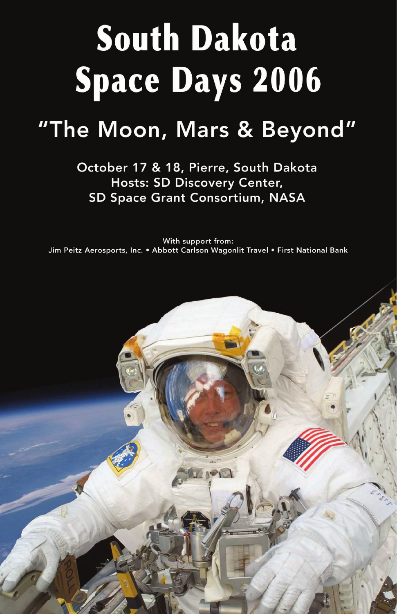# South Dakota Space Days 2006

## "The Moon, Mars & Beyond"

October 17 & 18, Pierre, South Dakota **Hosts: SD Discovery Center,** SD Space Grant Consortium, NASA

With support from: Jim Peitz Aerosports, Inc. . Abbott Carlson Wagonlit Travel . First National Bank